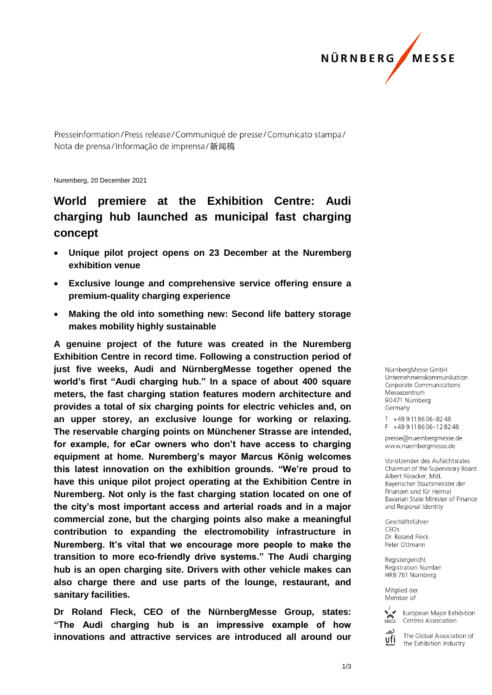

Presseinformation/Press release/Communiqué de presse/Comunicato stampa/ Nota de prensa/Informação de imprensa/新闻稿

Nuremberg, 20 December 2021

## **World premiere at the Exhibition Centre: Audi charging hub launched as municipal fast charging concept**

- **Unique pilot project opens on 23 December at the Nuremberg exhibition venue**
- **Exclusive lounge and comprehensive service offering ensure a premium-quality charging experience**
- **Making the old into something new: Second life battery storage makes mobility highly sustainable**

**A genuine project of the future was created in the Nuremberg Exhibition Centre in record time. Following a construction period of just five weeks, Audi and NürnbergMesse together opened the world's first "Audi charging hub." In a space of about 400 square meters, the fast charging station features modern architecture and provides a total of six charging points for electric vehicles and, on an upper storey, an exclusive lounge for working or relaxing. The reservable charging points on Münchener Strasse are intended, for example, for eCar owners who don't have access to charging equipment at home. Nuremberg's mayor Marcus König welcomes this latest innovation on the exhibition grounds. "We're proud to have this unique pilot project operating at the Exhibition Centre in Nuremberg. Not only is the fast charging station located on one of the city's most important access and arterial roads and in a major commercial zone, but the charging points also make a meaningful contribution to expanding the electromobility infrastructure in Nuremberg. It's vital that we encourage more people to make the transition to more eco-friendly drive systems." The Audi charging hub is an open charging site. Drivers with other vehicle makes can also charge there and use parts of the lounge, restaurant, and sanitary facilities.**

**Dr Roland Fleck, CEO of the NürnbergMesse Group, states: "The Audi charging hub is an impressive example of how innovations and attractive services are introduced all around our** 

NürnbergMesse GmbH Unternehmenskommunikation Corporate Communications Messezentrum 90471 Nürnberg Germany

T +49 911 86 06 - 82 48  $F + 499118606 - 128248$ 

presse@nuernbergmesse.de www.nuernbergmesse.de

Vorsitzender des Aufsichtsrates Chairman of the Supervisory Board Albert Füracker, MdL Bayerischer Staatsminister der Finanzen und für Heimat Bavarian State Minister of Finance and Regional Identity

Geschäftsführer CEOS Dr. Roland Fleck Peter Ottmann

Registergericht Registration Number HRB 761 Nürnberg

Mitglied der Member of



European Major Exhibition Centres Association

The Global Association of ufi the Exhibition Industry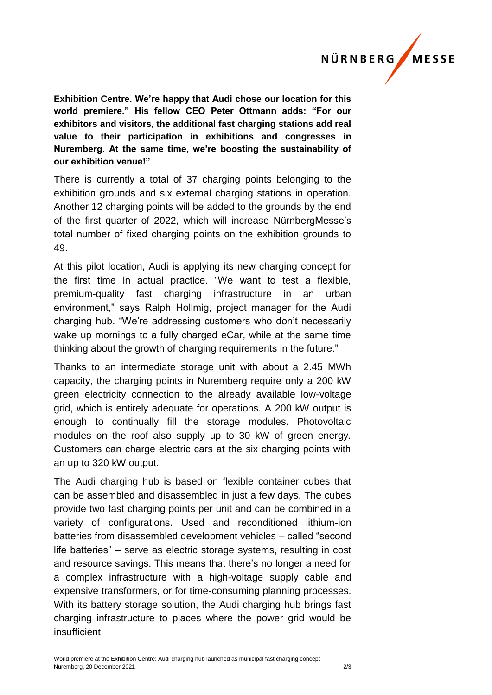## NÜRNBERG **MESSE**

**Exhibition Centre. We're happy that Audi chose our location for this world premiere." His fellow CEO Peter Ottmann adds: "For our exhibitors and visitors, the additional fast charging stations add real value to their participation in exhibitions and congresses in Nuremberg. At the same time, we're boosting the sustainability of our exhibition venue!"** 

There is currently a total of 37 charging points belonging to the exhibition grounds and six external charging stations in operation. Another 12 charging points will be added to the grounds by the end of the first quarter of 2022, which will increase NürnbergMesse's total number of fixed charging points on the exhibition grounds to 49.

At this pilot location, Audi is applying its new charging concept for the first time in actual practice. "We want to test a flexible, premium-quality fast charging infrastructure in an urban environment," says Ralph Hollmig, project manager for the Audi charging hub. "We're addressing customers who don't necessarily wake up mornings to a fully charged eCar, while at the same time thinking about the growth of charging requirements in the future."

Thanks to an intermediate storage unit with about a 2.45 MWh capacity, the charging points in Nuremberg require only a 200 kW green electricity connection to the already available low-voltage grid, which is entirely adequate for operations. A 200 kW output is enough to continually fill the storage modules. Photovoltaic modules on the roof also supply up to 30 kW of green energy. Customers can charge electric cars at the six charging points with an up to 320 kW output.

The Audi charging hub is based on flexible container cubes that can be assembled and disassembled in just a few days. The cubes provide two fast charging points per unit and can be combined in a variety of configurations. Used and reconditioned lithium-ion batteries from disassembled development vehicles – called "second life batteries" – serve as electric storage systems, resulting in cost and resource savings. This means that there's no longer a need for a complex infrastructure with a high-voltage supply cable and expensive transformers, or for time-consuming planning processes. With its battery storage solution, the Audi charging hub brings fast charging infrastructure to places where the power grid would be insufficient.